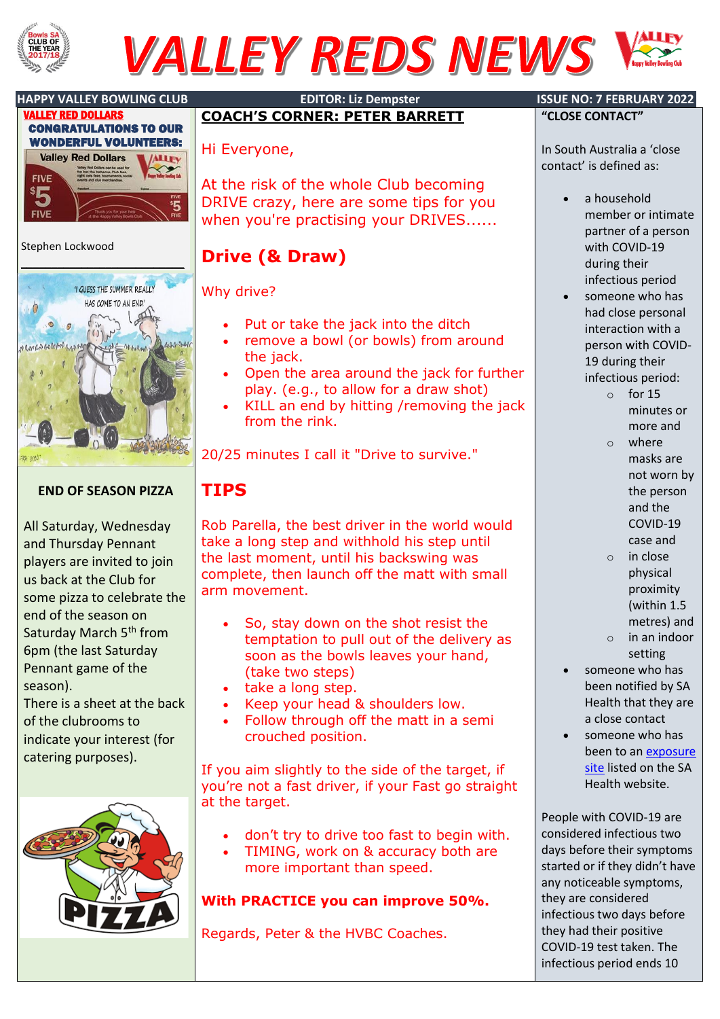

# **VALLEY REDS NEWS**





### Stephen Lockwood



## **END OF SEASON PIZZA**

All Saturday, Wednesday and Thursday Pennant players are invited to join us back at the Club for some pizza to celebrate the end of the season on Saturday March 5<sup>th</sup> from 6pm (the last Saturday Pennant game of the season).

There is a sheet at the back of the clubrooms to indicate your interest (for catering purposes).



#### **HAPPY VALLEY BOWLING CLUB EDITOR: Liz Dempster ISSUE NO: 7 FEBRUARY 2022 COACH'S CORNER: PETER BARRETT**

## Hi Everyone,

At the risk of the whole Club becoming DRIVE crazy, here are some tips for you when you're practising your DRIVES......

## **Drive (& Draw)**

### Why drive?

- Put or take the jack into the ditch
- remove a bowl (or bowls) from around the jack.
- Open the area around the jack for further play. (e.g., to allow for a draw shot)
- KILL an end by hitting /removing the jack from the rink.

20/25 minutes I call it "Drive to survive."

## **TIPS**

Rob Parella, the best driver in the world would take a long step and withhold his step until the last moment, until his backswing was complete, then launch off the matt with small arm movement.

- So, stay down on the shot resist the temptation to pull out of the delivery as soon as the bowls leaves your hand, (take two steps)
- take a long step.
- Keep your head & shoulders low.
- Follow through off the matt in a semi crouched position.

If you aim slightly to the side of the target, if you're not a fast driver, if your Fast go straight at the target.

- don't try to drive too fast to begin with.
- TIMING, work on & accuracy both are more important than speed.

## **With PRACTICE you can improve 50%.**

Regards, Peter & the HVBC Coaches.

**"CLOSE CONTACT"**

In South Australia a 'close contact' is defined as:

- a household member or intimate partner of a person with COVID-19 during their infectious period
- someone who has had close personal interaction with a person with COVID-19 during their infectious period:
	- $\circ$  for 15 minutes or more and
	- o where masks are not worn by the person and the COVID-19 case and
	- o in close physical proximity (within 1.5
		- metres) and
	- o in an indoor setting
- someone who has been notified by SA Health that they are a close contact
- someone who has been to an [exposure](https://www.sahealth.sa.gov.au/wps/wcm/connect/public+content/sa+health+internet/conditions/infectious+diseases/covid-19/testing+and+tracing/contact+tracing)  [site](https://www.sahealth.sa.gov.au/wps/wcm/connect/public+content/sa+health+internet/conditions/infectious+diseases/covid-19/testing+and+tracing/contact+tracing) listed on the SA Health website.

People with COVID-19 are considered infectious two days before their symptoms started or if they didn't have any noticeable symptoms, they are considered infectious two days before they had their positive COVID-19 test taken. The infectious period ends 10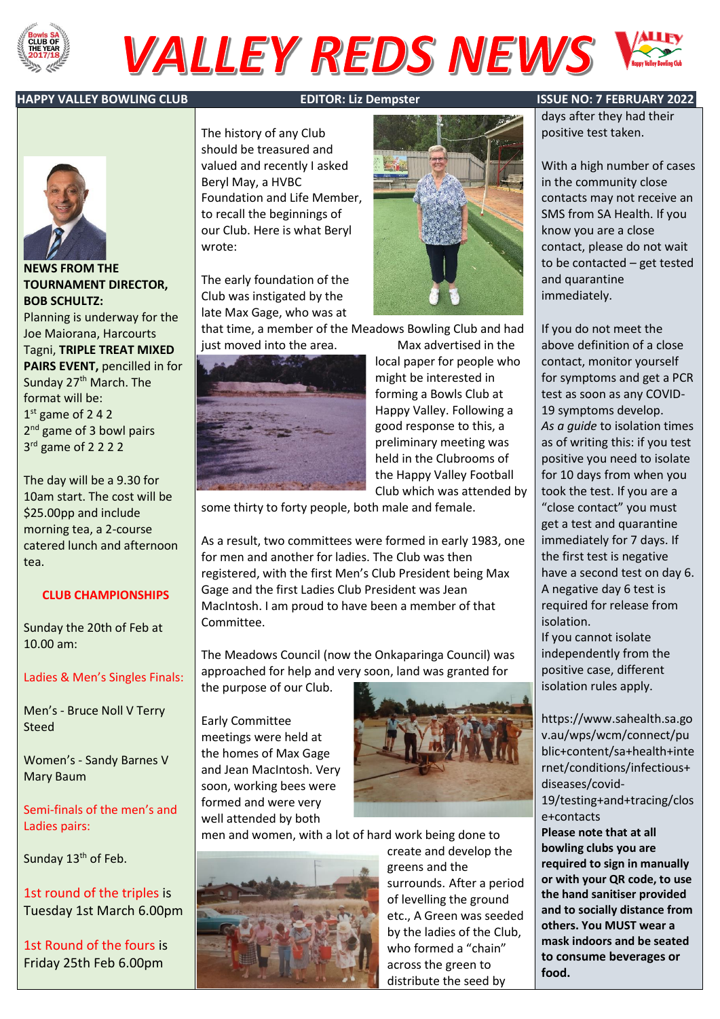

# **VALLEY REDS NEWS**

#### **HAPPY VALLEY BOWLING CLUB EDITOR: Liz Dempster ISSUE NO: 7 FEBRUARY 2022**



### **NEWS FROM THE TOURNAMENT DIRECTOR, BOB SCHULTZ:**

Planning is underway for the Joe Maiorana, Harcourts Tagni, **TRIPLE TREAT MIXED PAIRS EVENT,** pencilled in for Sunday 27<sup>th</sup> March. The format will be: 1 st game of 2 4 2 2<sup>nd</sup> game of 3 bowl pairs 3 rd game of 2 2 2 2

The day will be a 9.30 for 10am start. The cost will be \$25.00pp and include morning tea, a 2-course catered lunch and afternoon tea.

### **CLUB CHAMPIONSHIPS**

Sunday the 20th of Feb at 10.00 am:

#### Ladies & Men's Singles Finals:

Men's - Bruce Noll V Terry Steed

Women's - Sandy Barnes V Mary Baum

Semi-finals of the men's and Ladies pairs:

Sunday 13<sup>th</sup> of Feb.

1st round of the triples is Tuesday 1st March 6.00pm

1st Round of the fours is Friday 25th Feb 6.00pm

The history of any Club should be treasured and valued and recently I asked Beryl May, a HVBC Foundation and Life Member, to recall the beginnings of our Club. Here is what Beryl wrote:

The early foundation of the Club was instigated by the late Max Gage, who was at

that time, a member of the Meadows Bowling Club and had just moved into the area. Max advertised in the





local paper for people who might be interested in forming a Bowls Club at Happy Valley. Following a good response to this, a preliminary meeting was held in the Clubrooms of the Happy Valley Football Club which was attended by

some thirty to forty people, both male and female.

As a result, two committees were formed in early 1983, one for men and another for ladies. The Club was then registered, with the first Men's Club President being Max Gage and the first Ladies Club President was Jean MacIntosh. I am proud to have been a member of that Committee.

The Meadows Council (now the Onkaparinga Council) was approached for help and very soon, land was granted for

the purpose of our Club.

Early Committee meetings were held at the homes of Max Gage and Jean MacIntosh. Very soon, working bees were formed and were very well attended by both



men and women, with a lot of hard work being done to



create and develop the greens and the surrounds. After a period of levelling the ground etc., A Green was seeded by the ladies of the Club, who formed a "chain" across the green to distribute the seed by

days after they had their positive test taken.

With a high number of cases in the community close contacts may not receive an SMS from SA Health. If you know you are a close contact, please do not wait to be contacted – get tested and quarantine immediately.

If you do not meet the above definition of a close contact, monitor yourself for symptoms and get a PCR test as soon as any COVID-19 symptoms develop. *As a guide* to isolation times as of writing this: if you test positive you need to isolate for 10 days from when you took the test. If you are a "close contact" you must get a test and quarantine immediately for 7 days. If the first test is negative have a second test on day 6. A negative day 6 test is required for release from isolation. If you cannot isolate independently from the positive case, different isolation rules apply.

https://www.sahealth.sa.go v.au/wps/wcm/connect/pu blic+content/sa+health+inte rnet/conditions/infectious+ diseases/covid-19/testing+and+tracing/clos e+contacts **Please note that at all bowling clubs you are required to sign in manually or with your QR code, to use the hand sanitiser provided and to socially distance from others. You MUST wear a mask indoors and be seated to consume beverages or** 

**food.**